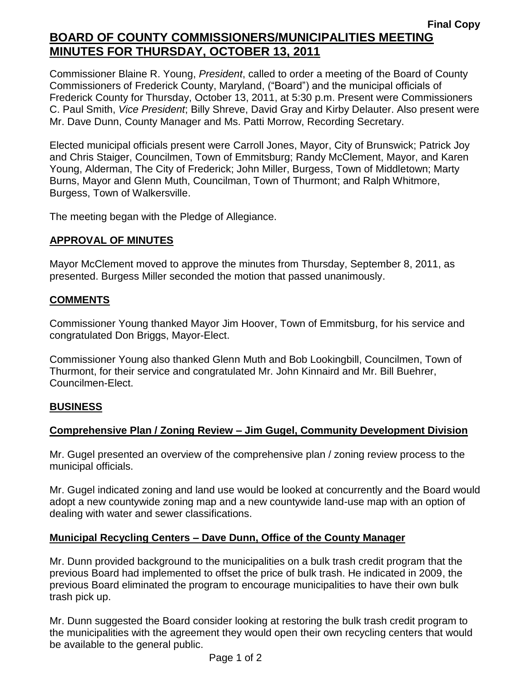# **Final Copy BOARD OF COUNTY COMMISSIONERS/MUNICIPALITIES MEETING MINUTES FOR THURSDAY, OCTOBER 13, 2011**

Commissioner Blaine R. Young, *President*, called to order a meeting of the Board of County Commissioners of Frederick County, Maryland, ("Board") and the municipal officials of Frederick County for Thursday, October 13, 2011, at 5:30 p.m. Present were Commissioners C. Paul Smith, *Vice President*; Billy Shreve, David Gray and Kirby Delauter. Also present were Mr. Dave Dunn, County Manager and Ms. Patti Morrow, Recording Secretary.

Elected municipal officials present were Carroll Jones, Mayor, City of Brunswick; Patrick Joy and Chris Staiger, Councilmen, Town of Emmitsburg; Randy McClement, Mayor, and Karen Young, Alderman, The City of Frederick; John Miller, Burgess, Town of Middletown; Marty Burns, Mayor and Glenn Muth, Councilman, Town of Thurmont; and Ralph Whitmore, Burgess, Town of Walkersville.

The meeting began with the Pledge of Allegiance.

## *1BU***APPROVAL OF MINUTES**

Mayor McClement moved to approve the minutes from Thursday, September 8, 2011, as presented. Burgess Miller seconded the motion that passed unanimously.

#### **COMMENTS**

Commissioner Young thanked Mayor Jim Hoover, Town of Emmitsburg, for his service and congratulated Don Briggs, Mayor-Elect.

Commissioner Young also thanked Glenn Muth and Bob Lookingbill, Councilmen, Town of Thurmont, for their service and congratulated Mr. John Kinnaird and Mr. Bill Buehrer, Councilmen-Elect.

# **BUSINESS**

# **Comprehensive Plan / Zoning Review – Jim Gugel, Community Development Division**

Mr. Gugel presented an overview of the comprehensive plan / zoning review process to the municipal officials.

Mr. Gugel indicated zoning and land use would be looked at concurrently and the Board would adopt a new countywide zoning map and a new countywide land-use map with an option of dealing with water and sewer classifications.

#### **Municipal Recycling Centers – Dave Dunn, Office of the County Manager**

Mr. Dunn provided background to the municipalities on a bulk trash credit program that the previous Board had implemented to offset the price of bulk trash. He indicated in 2009, the previous Board eliminated the program to encourage municipalities to have their own bulk trash pick up.

Mr. Dunn suggested the Board consider looking at restoring the bulk trash credit program to the municipalities with the agreement they would open their own recycling centers that would be available to the general public.